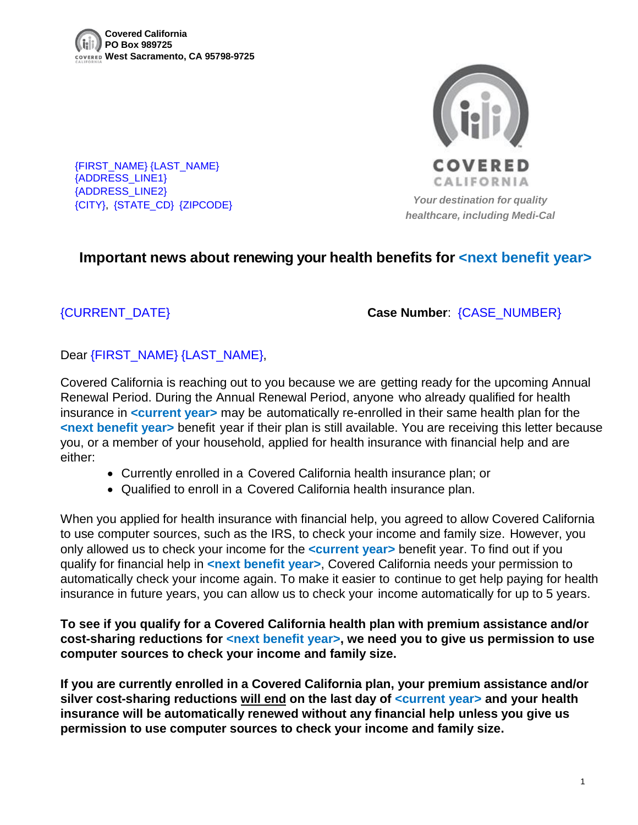{FIRST\_NAME} {LAST\_NAME}

{ADDRESS\_LINE1} {ADDRESS\_LINE2}



{CITY}, {STATE\_CD} {ZIPCODE} *Your destination for quality healthcare, including Medi-Cal*

## **Important news about renewing your health benefits for <next benefit year>**

{CURRENT\_DATE} **Case Number**: {CASE\_NUMBER}

## Dear {FIRST\_NAME} {LAST\_NAME},

Covered California is reaching out to you because we are getting ready for the upcoming Annual Renewal Period. During the Annual Renewal Period, anyone who already qualified for health insurance in **<current year>** may be automatically re-enrolled in their same health plan for the **<next benefit year>** benefit year if their plan is still available. You are receiving this letter because you, or a member of your household, applied for health insurance with financial help and are either:

- Currently enrolled in a Covered California health insurance plan; or
- Qualified to enroll in a Covered California health insurance plan.

When you applied for health insurance with financial help, you agreed to allow Covered California to use computer sources, such as the IRS, to check your income and family size. However, you only allowed us to check your income for the **<current year>** benefit year. To find out if you qualify for financial help in **<next benefit year>**, Covered California needs your permission to automatically check your income again. To make it easier to continue to get help paying for health insurance in future years, you can allow us to check your income automatically for up to 5 years.

**To see if you qualify for a Covered California health plan with premium assistance and/or cost-sharing reductions for <next benefit year>, we need you to give us permission to use computer sources to check your income and family size.** 

**If you are currently enrolled in a Covered California plan, your premium assistance and/or silver cost-sharing reductions will end on the last day of <current year> and your health insurance will be automatically renewed without any financial help unless you give us permission to use computer sources to check your income and family size.**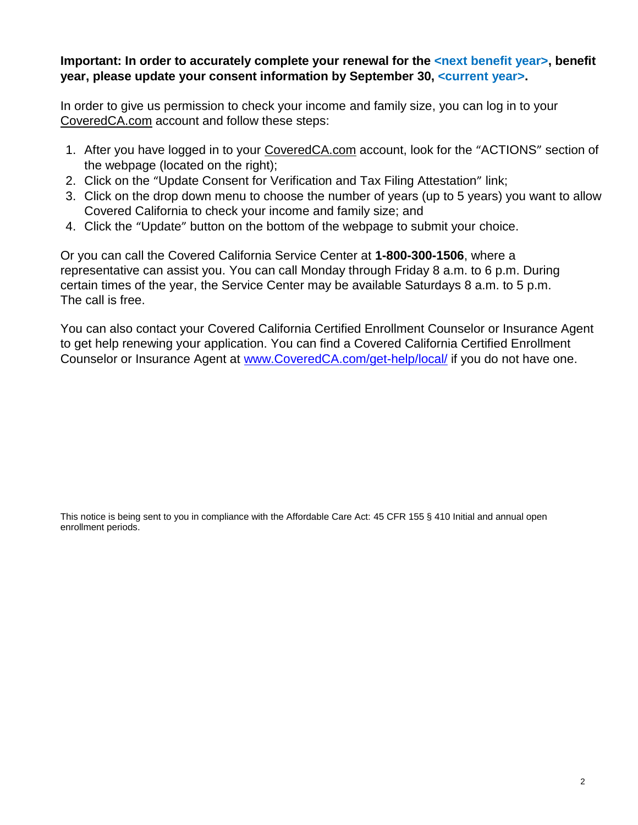## Important: In order to accurately complete your renewal for the *sect benefit year*, benefit **year, please update your consent information by September 30, <current year>.**

In order to give us permission to check your income and family size, you can log in to your CoveredCA.com account and follow these steps:

- 1. After you have logged in to your CoveredCA.com account, look for the "ACTIONS" section of the webpage (located on the right);
- 2. Click on the "Update Consent for Verification and Tax Filing Attestation" link;
- 3. Click on the drop down menu to choose the number of years (up to 5 years) you want to allow Covered California to check your income and family size; and
- 4. Click the "Update" button on the bottom of the webpage to submit your choice.

Or you can call the Covered California Service Center at **1-800-300-1506**, where a representative can assist you. You can call Monday through Friday 8 a.m. to 6 p.m. During certain times of the year, the Service Center may be available Saturdays 8 a.m. to 5 p.m. The call is free.

You can also contact your Covered California Certified Enrollment Counselor or Insurance Agent to get help renewing your application. You can find a Covered California Certified Enrollment Counselor or Insurance Agent at [www.CoveredCA.com/get-help/local/](http://www.coveredca.com/get-help/local/) if you do not have one.

This notice is being sent to you in compliance with the Affordable Care Act: 45 CFR 155 § 410 Initial and annual open enrollment periods.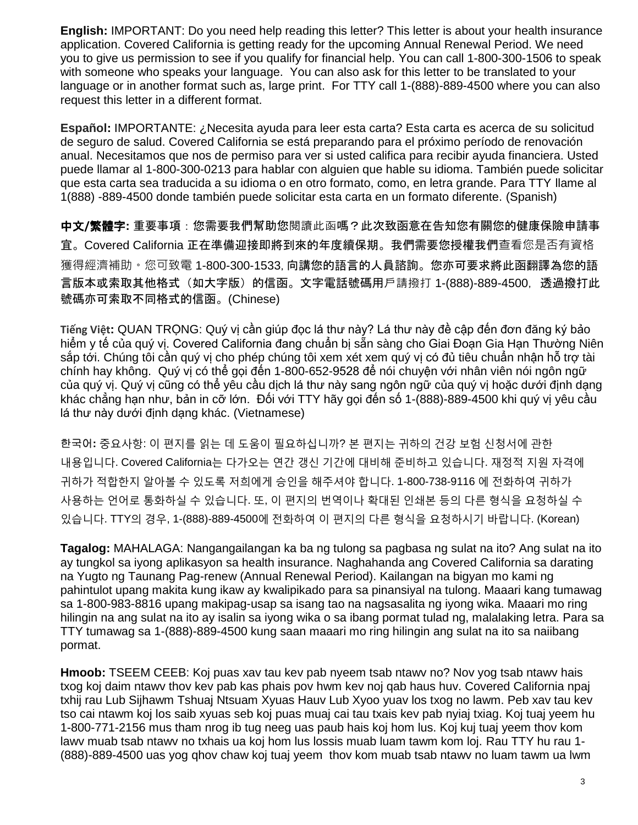**English:** IMPORTANT: Do you need help reading this letter? This letter is about your health insurance application. Covered California is getting ready for the upcoming Annual Renewal Period. We need you to give us permission to see if you qualify for financial help. You can call 1-800-300-1506 to speak with someone who speaks your language. You can also ask for this letter to be translated to your language or in another format such as, large print. For TTY call 1-(888)-889-4500 where you can also request this letter in a different format.

**Español:** IMPORTANTE: ¿Necesita ayuda para leer esta carta? Esta carta es acerca de su solicitud de seguro de salud. Covered California se está preparando para el próximo período de renovación anual. Necesitamos que nos de permiso para ver si usted califica para recibir ayuda financiera. Usted puede llamar al 1-800-300-0213 para hablar con alguien que hable su idioma. También puede solicitar que esta carta sea traducida a su idioma o en otro formato, como, en letra grande. Para TTY llame al 1(888) -889-4500 donde también puede solicitar esta carta en un formato diferente. (Spanish)

中文**/**繁體字**:** 重要事項:您需要我們幫助您閱讀此函嗎?此次致函意在告知您有關您的健康保險申請事 宜。Covered California 正在準備迎接即將到來的年度續保期。我們需要您授權我們查看您是否有資格 獲得經濟補助。您可致電 1-800-300-1533,向講您的語言的人員諮詢。您亦可要求將此函翻譯為您的語 言版本或索取其他格式(如大字版)的信函。文字電話號碼用戶請撥打 1-(888)-889-4500, 透過撥打此 號碼亦可索取不同格式的信函。(Chinese)

**Tiếng Việt:** QUAN TRỌNG: Quý vị cần giúp đọc lá thư này? Lá thư này đề cập đến đơn đăng ký bảo hiểm y tế của quý vị. Covered California đang chuẩn bị sẵn sàng cho Giai Đoạn Gia Hạn Thường Niên sắp tới. Chúng tôi cần quý vị cho phép chúng tôi xem xét xem quý vị có đủ tiêu chuẩn nhận hỗ trợ tài chính hay không. Quý vị có thể gọi đến 1-800-652-9528 để nói chuyện với nhân viên nói ngôn ngữ của quý vị. Quý vị cũng có thể yêu cầu dịch lá thư này sang ngôn ngữ của quý vị hoặc dưới định dạng khác chẳng hạn như, bản in cỡ lớn. Đối với TTY hãy gọi đến số 1-(888)-889-4500 khi quý vị yêu cầu lá thư này dưới định dạng khác. (Vietnamese)

한국어**:** 중요사항: 이 편지를 읽는 데 도움이 필요하십니까? 본 편지는 귀하의 건강 보험 신청서에 관한 내용입니다. Covered California는 다가오는 연간 갱신 기간에 대비해 준비하고 있습니다. 재정적 지원 자격에 귀하가 적합한지 알아볼 수 있도록 저희에게 승인을 해주셔야 합니다. 1-800-738-9116 에 전화하여 귀하가 사용하는 언어로 통화하실 수 있습니다. 또, 이 편지의 번역이나 확대된 인쇄본 등의 다른 형식을 요청하실 수 있습니다. TTY의 경우, 1-(888)-889-4500에 전화하여 이 편지의 다른 형식을 요청하시기 바랍니다. (Korean)

**Tagalog:** MAHALAGA: Nangangailangan ka ba ng tulong sa pagbasa ng sulat na ito? Ang sulat na ito ay tungkol sa iyong aplikasyon sa health insurance. Naghahanda ang Covered California sa darating na Yugto ng Taunang Pag-renew (Annual Renewal Period). Kailangan na bigyan mo kami ng pahintulot upang makita kung ikaw ay kwalipikado para sa pinansiyal na tulong. Maaari kang tumawag sa 1-800-983-8816 upang makipag-usap sa isang tao na nagsasalita ng iyong wika. Maaari mo ring hilingin na ang sulat na ito ay isalin sa iyong wika o sa ibang pormat tulad ng, malalaking letra. Para sa TTY tumawag sa 1-(888)-889-4500 kung saan maaari mo ring hilingin ang sulat na ito sa naiibang pormat.

**Hmoob:** TSEEM CEEB: Koj puas xav tau kev pab nyeem tsab ntawv no? Nov yog tsab ntawv hais txog koj daim ntawv thov kev pab kas phais pov hwm kev noj qab haus huv. Covered California npaj txhij rau Lub Sijhawm Tshuaj Ntsuam Xyuas Hauv Lub Xyoo yuav los txog no lawm. Peb xav tau kev tso cai ntawm koj los saib xyuas seb koj puas muaj cai tau txais kev pab nyiaj txiag. Koj tuaj yeem hu 1-800-771-2156 mus tham nrog ib tug neeg uas paub hais koj hom lus. Koj kuj tuaj yeem thov kom lawv muab tsab ntawv no txhais ua koj hom lus lossis muab luam tawm kom loj. Rau TTY hu rau 1- (888)-889-4500 uas yog qhov chaw koj tuaj yeem thov kom muab tsab ntawv no luam tawm ua lwm